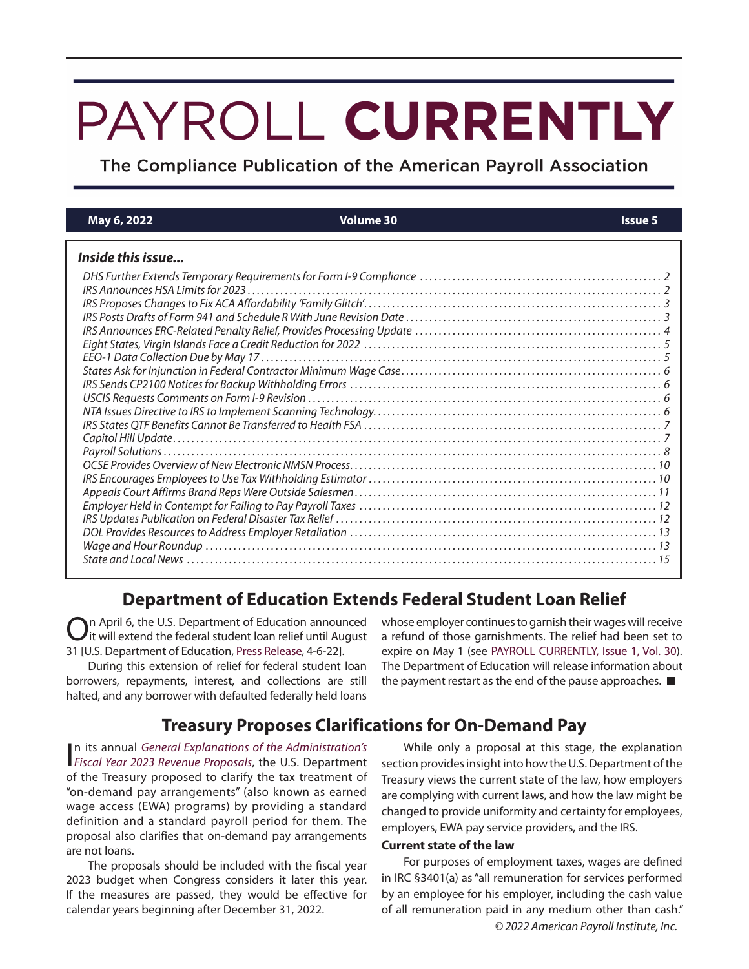# PAYROLL CURRENTLY

The Compliance Publication of the American Payroll Association

| May 6, 2022       | <b>Volume 30</b> | <b>Issue 5</b> |
|-------------------|------------------|----------------|
| Inside this issue |                  |                |
|                   |                  |                |
|                   |                  |                |
|                   |                  |                |
|                   |                  |                |
|                   |                  |                |
|                   |                  |                |
|                   |                  |                |
|                   |                  |                |
|                   |                  |                |
|                   |                  |                |
|                   |                  |                |
|                   |                  |                |
|                   |                  |                |
|                   |                  |                |
|                   |                  |                |
|                   |                  |                |
|                   |                  |                |
|                   |                  |                |
|                   |                  |                |
|                   |                  |                |
|                   |                  |                |
|                   |                  |                |
|                   |                  |                |

# **Department of Education Extends Federal Student Loan Relief**

On April 6, the U.S. Department of Education announced it will extend the federal student loan relief until August 31 [U.S. Department of Education, Press Release, 4-6-22].

During this extension of relief for federal student loan borrowers, repayments, interest, and collections are still halted, and any borrower with defaulted federally held loans

whose employer continues to garnish their wages will receive a refund of those garnishments. The relief had been set to expire on May 1 (see PAYROLL CURRENTLY, Issue 1, Vol. 30). The Department of Education will release information about the payment restart as the end of the pause approaches.

# **Treasury Proposes Clarifications for On-Demand Pay**

In its annual General Explanations of the Administration's<br>Fiscal Year 2023 Revenue Proposals, the U.S. Department n its annual General Explanations of the Administration's of the Treasury proposed to clarify the tax treatment of "on-demand pay arrangements" (also known as earned wage access (EWA) programs) by providing a standard definition and a standard payroll period for them. The proposal also clarifies that on-demand pay arrangements are not loans.

The proposals should be included with the fiscal year 2023 budget when Congress considers it later this year. If the measures are passed, they would be effective for calendar years beginning after December 31, 2022.

While only a proposal at this stage, the explanation section provides insight into how the U.S. Department of the Treasury views the current state of the law, how employers are complying with current laws, and how the law might be changed to provide uniformity and certainty for employees, employers, EWA pay service providers, and the IRS.

## **Current state of the law**

© 2022 American Payroll Institute, Inc. For purposes of employment taxes, wages are defined in IRC §3401(a) as "all remuneration for services performed by an employee for his employer, including the cash value of all remuneration paid in any medium other than cash."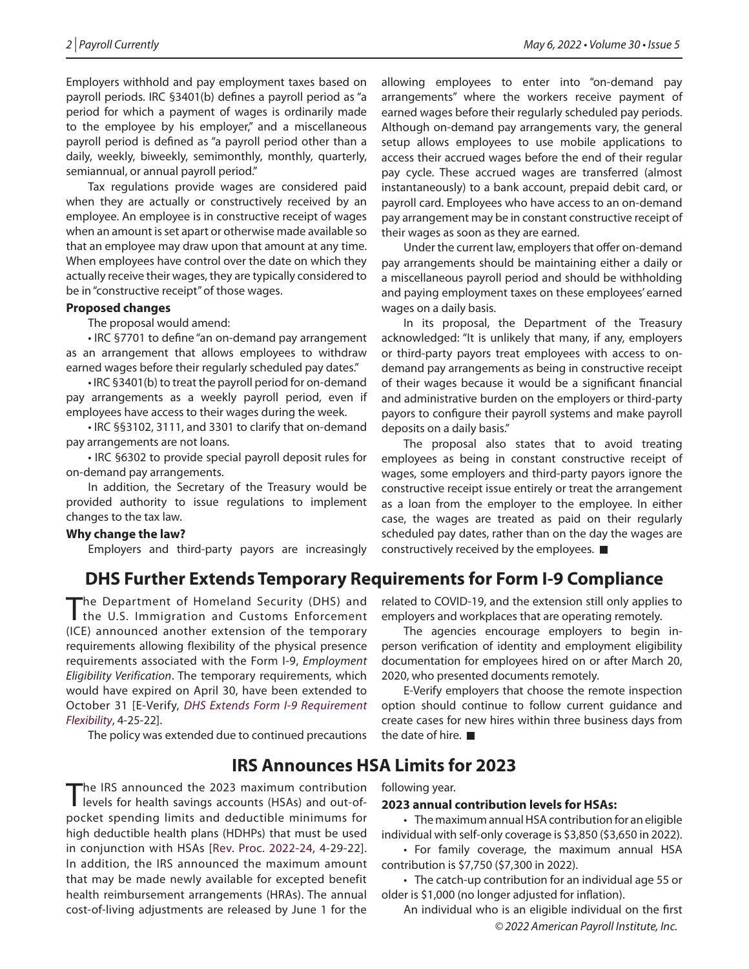Employers withhold and pay employment taxes based on payroll periods. IRC §3401(b) defines a payroll period as "a period for which a payment of wages is ordinarily made to the employee by his employer," and a miscellaneous payroll period is defined as "a payroll period other than a daily, weekly, biweekly, semimonthly, monthly, quarterly, semiannual, or annual payroll period."

Tax regulations provide wages are considered paid when they are actually or constructively received by an employee. An employee is in constructive receipt of wages when an amount is set apart or otherwise made available so that an employee may draw upon that amount at any time. When employees have control over the date on which they actually receive their wages, they are typically considered to be in "constructive receipt" of those wages.

## **Proposed changes**

The proposal would amend:

• IRC §7701 to define "an on-demand pay arrangement as an arrangement that allows employees to withdraw earned wages before their regularly scheduled pay dates."

• IRC §3401(b) to treat the payroll period for on-demand pay arrangements as a weekly payroll period, even if employees have access to their wages during the week.

• IRC §§3102, 3111, and 3301 to clarify that on-demand pay arrangements are not loans.

• IRC §6302 to provide special payroll deposit rules for on-demand pay arrangements.

In addition, the Secretary of the Treasury would be provided authority to issue regulations to implement changes to the tax law.

## **Why change the law?**

Employers and third-party payors are increasingly

allowing employees to enter into "on-demand pay arrangements" where the workers receive payment of earned wages before their regularly scheduled pay periods. Although on-demand pay arrangements vary, the general setup allows employees to use mobile applications to access their accrued wages before the end of their regular pay cycle. These accrued wages are transferred (almost instantaneously) to a bank account, prepaid debit card, or payroll card. Employees who have access to an on-demand pay arrangement may be in constant constructive receipt of their wages as soon as they are earned.

Under the current law, employers that offer on-demand pay arrangements should be maintaining either a daily or a miscellaneous payroll period and should be withholding and paying employment taxes on these employees' earned wages on a daily basis.

In its proposal, the Department of the Treasury acknowledged: "It is unlikely that many, if any, employers or third-party payors treat employees with access to ondemand pay arrangements as being in constructive receipt of their wages because it would be a significant financial and administrative burden on the employers or third-party payors to configure their payroll systems and make payroll deposits on a daily basis."

The proposal also states that to avoid treating employees as being in constant constructive receipt of wages, some employers and third-party payors ignore the constructive receipt issue entirely or treat the arrangement as a loan from the employer to the employee. In either case, the wages are treated as paid on their regularly scheduled pay dates, rather than on the day the wages are constructively received by the employees.

# **DHS Further Extends Temporary Requirements for Form I-9 Compliance**

The Department of Homeland Security (DHS) and the U.S. Immigration and Customs Enforcement (ICE) announced another extension of the temporary requirements allowing flexibility of the physical presence requirements associated with the Form I-9, Employment Eligibility Verification. The temporary requirements, which would have expired on April 30, have been extended to October 31 [E-Verify, DHS Extends Form I-9 Requirement Flexibility, 4-25-22].

The policy was extended due to continued precautions

# **IRS Announces HSA Limits for 2023**

The IRS announced the 2023 maximum contribution<br>levels for health savings accounts (HSAs) and out-ofpocket spending limits and deductible minimums for high deductible health plans (HDHPs) that must be used in conjunction with HSAs [Rev. Proc. 2022-24, 4-29-22]. In addition, the IRS announced the maximum amount that may be made newly available for excepted benefit health reimbursement arrangements (HRAs). The annual cost-of-living adjustments are released by June 1 for the

related to COVID-19, and the extension still only applies to employers and workplaces that are operating remotely.

The agencies encourage employers to begin inperson verification of identity and employment eligibility documentation for employees hired on or after March 20, 2020, who presented documents remotely.

E-Verify employers that choose the remote inspection option should continue to follow current guidance and create cases for new hires within three business days from the date of hire.

# following year.

## **2023 annual contribution levels for HSAs:**

• The maximum annual HSA contribution for an eligible individual with self-only coverage is \$3,850 (\$3,650 in 2022).

• For family coverage, the maximum annual HSA contribution is \$7,750 (\$7,300 in 2022).

• The catch-up contribution for an individual age 55 or older is \$1,000 (no longer adjusted for inflation).

© 2022 American Payroll Institute, Inc. An individual who is an eligible individual on the first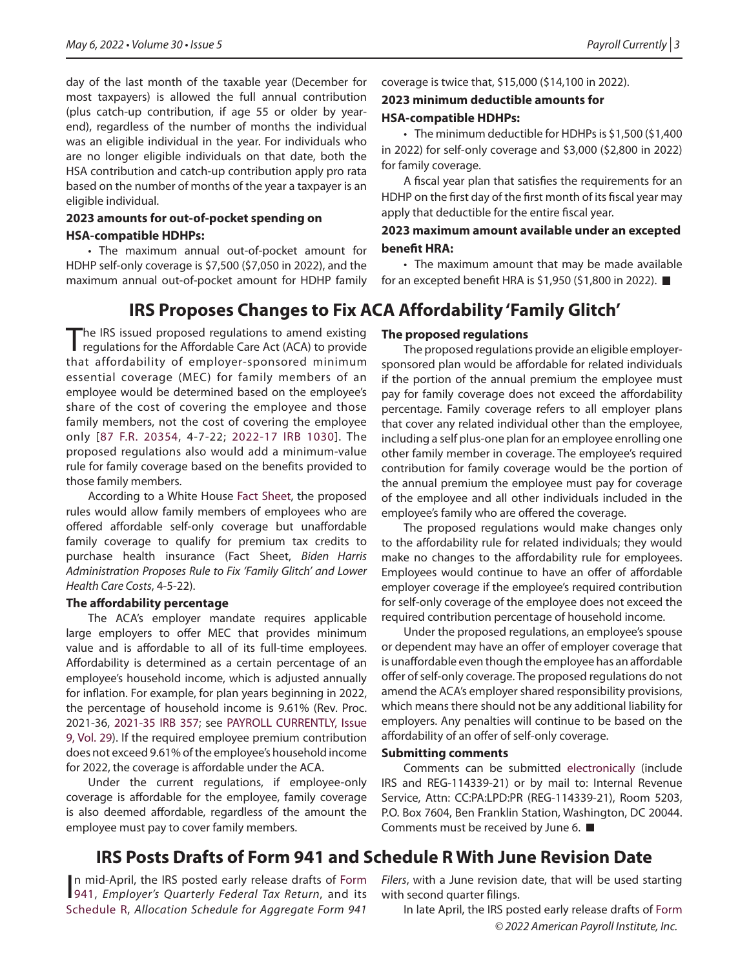day of the last month of the taxable year (December for most taxpayers) is allowed the full annual contribution (plus catch-up contribution, if age 55 or older by yearend), regardless of the number of months the individual was an eligible individual in the year. For individuals who are no longer eligible individuals on that date, both the HSA contribution and catch-up contribution apply pro rata based on the number of months of the year a taxpayer is an eligible individual.

## **2023 amounts for out-of-pocket spending on**

## **HSA-compatible HDHPs:**

• The maximum annual out-of-pocket amount for HDHP self-only coverage is \$7,500 (\$7,050 in 2022), and the maximum annual out-of-pocket amount for HDHP family

# **IRS Proposes Changes to Fix ACA Affordability 'Family Glitch'**

The IRS issued proposed regulations to amend existing regulations for the Affordable Care Act (ACA) to provide that affordability of employer-sponsored minimum essential coverage (MEC) for family members of an employee would be determined based on the employee's share of the cost of covering the employee and those family members, not the cost of covering the employee only [87 F.R. 20354, 4-7-22; 2022-17 IRB 1030]. The proposed regulations also would add a minimum-value rule for family coverage based on the benefits provided to those family members.

According to a White House Fact Sheet, the proposed rules would allow family members of employees who are offered affordable self-only coverage but unaffordable family coverage to qualify for premium tax credits to purchase health insurance (Fact Sheet, Biden Harris Administration Proposes Rule to Fix 'Family Glitch' and Lower Health Care Costs, 4-5-22).

## **The affordability percentage**

The ACA's employer mandate requires applicable large employers to offer MEC that provides minimum value and is affordable to all of its full-time employees. Affordability is determined as a certain percentage of an employee's household income, which is adjusted annually for inflation. For example, for plan years beginning in 2022, the percentage of household income is 9.61% (Rev. Proc. 2021-36, 2021-35 IRB 357; see PAYROLL CURRENTLY, Issue 9, Vol. 29). If the required employee premium contribution does not exceed 9.61% of the employee's household income for 2022, the coverage is affordable under the ACA.

Under the current regulations, if employee-only coverage is affordable for the employee, family coverage is also deemed affordable, regardless of the amount the employee must pay to cover family members.

coverage is twice that, \$15,000 (\$14,100 in 2022).

# **2023 minimum deductible amounts for HSA-compatible HDHPs:**

• The minimum deductible for HDHPs is \$1,500 (\$1,400 in 2022) for self-only coverage and \$3,000 (\$2,800 in 2022) for family coverage.

A fiscal year plan that satisfies the requirements for an HDHP on the first day of the first month of its fiscal year may apply that deductible for the entire fiscal year.

## **2023 maximum amount available under an excepted benefit HRA:**

• The maximum amount that may be made available for an excepted benefit HRA is \$1,950 (\$1,800 in 2022).

# **The proposed regulations**

The proposed regulations provide an eligible employersponsored plan would be affordable for related individuals if the portion of the annual premium the employee must pay for family coverage does not exceed the affordability percentage. Family coverage refers to all employer plans that cover any related individual other than the employee, including a self plus-one plan for an employee enrolling one other family member in coverage. The employee's required contribution for family coverage would be the portion of the annual premium the employee must pay for coverage of the employee and all other individuals included in the employee's family who are offered the coverage.

The proposed regulations would make changes only to the affordability rule for related individuals; they would make no changes to the affordability rule for employees. Employees would continue to have an offer of affordable employer coverage if the employee's required contribution for self-only coverage of the employee does not exceed the required contribution percentage of household income.

Under the proposed regulations, an employee's spouse or dependent may have an offer of employer coverage that is unaffordable even though the employee has an affordable offer of self-only coverage. The proposed regulations do not amend the ACA's employer shared responsibility provisions, which means there should not be any additional liability for employers. Any penalties will continue to be based on the affordability of an offer of self-only coverage.

## **Submitting comments**

Comments can be submitted electronically (include IRS and REG-114339-21) or by mail to: Internal Revenue Service, Attn: CC:PA:LPD:PR (REG-114339-21), Room 5203, P.O. Box 7604, Ben Franklin Station, Washington, DC 20044. Comments must be received by June 6.

# **IRS Posts Drafts of Form 941 and Schedule R With June Revision Date**

In mid-April, the IRS posted early release drafts of Form<br>941, *Employer's Quarterly Federal Tax Return*, and its n mid-April, the IRS posted early release drafts of Form Schedule R, Allocation Schedule for Aggregate Form 941

Filers, with a June revision date, that will be used starting with second quarter filings.

© 2022 American Payroll Institute, Inc. In late April, the IRS posted early release drafts of Form